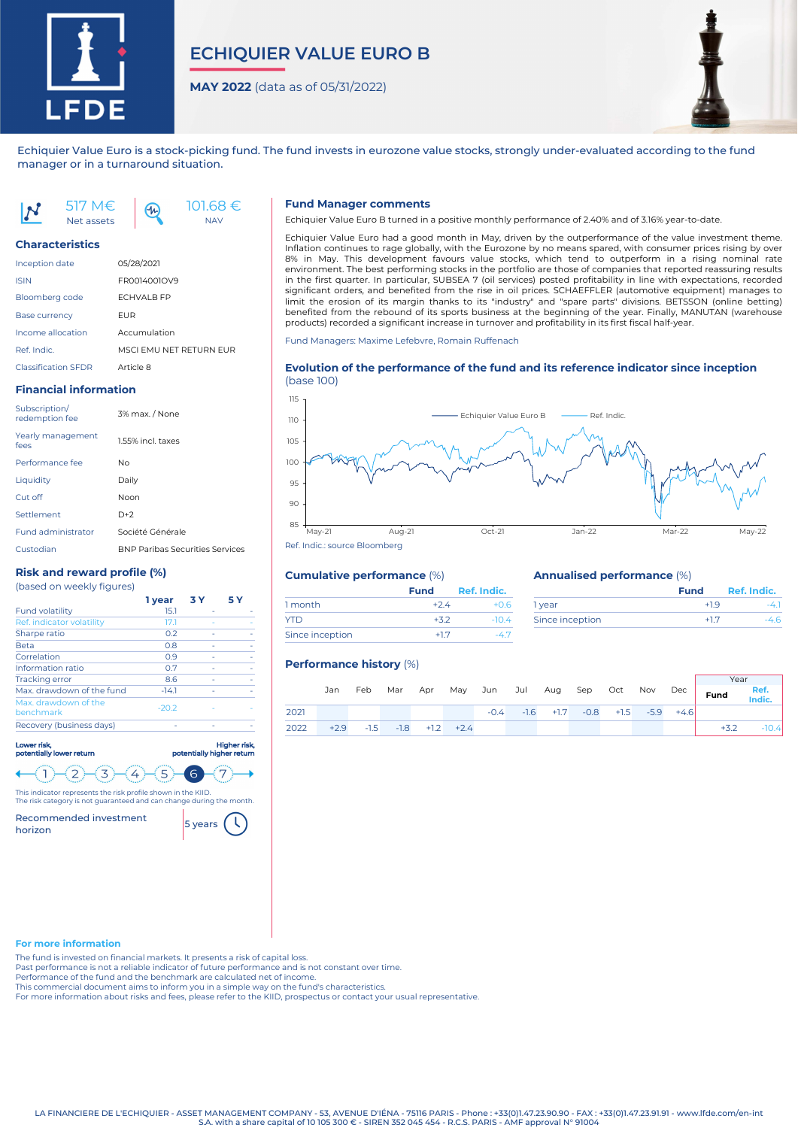

# **ECHIQUIER VALUE EURO B**

**MAY 2022** (data as of 05/31/2022)

NAV



Echiquier Value Euro is a stock-picking fund. The fund invests in eurozone value stocks, strongly under-evaluated according to the fund manager or in a turnaround situation.

517 M€ 101.68 €  $4<sub>n</sub>$ Net assets

# **Characteristics**

| <b>Inception date</b>      | 05/28/2021              |
|----------------------------|-------------------------|
| <b>ISIN</b>                | FR0014001OV9            |
| Bloomberg code             | <b>FCHVALB FP</b>       |
| <b>Base currency</b>       | <b>FUR</b>              |
| Income allocation          | Accumulation            |
| Ref. Indic.                | MSCI FMU NFT RFTURN FUR |
| <b>Classification SFDR</b> | Article 8               |

# **Financial information**

| Subscription/<br>redemption fee | 3% max. / None                         |
|---------------------------------|----------------------------------------|
| Yearly management<br>fees       | 1.55% incl. taxes                      |
| Performance fee                 | No.                                    |
| Liquidity                       | Daily                                  |
| Cut off                         | Noon                                   |
| Settlement                      | $D+2$                                  |
| <b>Fund administrator</b>       | Société Générale                       |
| Custodian                       | <b>BNP Paribas Securities Services</b> |

# **Risk and reward profile (%)**

| (based on weekly figures) |  |  |
|---------------------------|--|--|
|---------------------------|--|--|

|                                   | 1 year  | 3 Y | 5 Y |
|-----------------------------------|---------|-----|-----|
| <b>Fund volatility</b>            | 15.1    |     |     |
| Ref. indicator volatility         | 17.1    |     |     |
| Sharpe ratio                      | 0.2     |     |     |
| <b>Beta</b>                       | 0.8     |     |     |
| Correlation                       | 0.9     |     |     |
| Information ratio                 | 0.7     |     |     |
| <b>Tracking error</b>             | 8.6     |     |     |
| Max, drawdown of the fund         | $-14.1$ |     |     |
| Max. drawdown of the<br>benchmark | $-20.2$ |     |     |
| Recovery (business days)          |         |     |     |

### Lower risk, Higher risk, potentially lower return potentially higher return  $\left( 2\right)$  $\overline{3}$  $\langle 4 \rangle$  $(5)$  $\overline{1}$ ์ 6

This indicator represents the risk profile shown in the KIID.

The risk category is not guaranteed and can change during the month. Recommended investment Recommended investment 5 years

# **Fund Manager comments**

Echiquier Value Euro B turned in a positive monthly performance of 2.40% and of 3.16% year-to-date.

Echiquier Value Euro had a good month in May, driven by the outperformance of the value investment theme. Inflation continues to rage globally, with the Eurozone by no means spared, with consumer prices rising by over 8% in May. This development favours value stocks, which tend to outperform in a rising nominal rate environment. The best performing stocks in the portfolio are those of companies that reported reassuring results in the first quarter. In particular, SUBSEA 7 (oil services) posted profitability in line with expectations, recorded significant orders, and benefited from the rise in oil prices. SCHAEFFLER (automotive equipment) manages to limit the erosion of its margin thanks to its "industry" and "spare parts" divisions. BETSSON (online betting) benefited from the rebound of its sports business at the beginning of the year. Finally, MANUTAN (warehouse products) recorded a significant increase in turnover and profitability in its first fiscal half-year.

Fund Managers: Maxime Lefebvre, Romain Ruffenach

## **Evolution of the performance of the fund and its reference indicator since inception** (base 100)



**Fund Ref. Indic.**

# **Cumulative performance** (%)

1 month  $+2.4$   $+0.6$  $YTD$   $+3.2$   $-10.4$ Since inception  $+1.7$   $-4.7$ 

## **Annualised performance** (%)

|                 | <b>Fund</b> | Ref. Indic. |
|-----------------|-------------|-------------|
| <b>vear</b>     | +19         |             |
| Since inception |             |             |

**Vest** 

# **Performance history** (%)

|                                           | Jan | Feb |  |  |  |                                                  |  | .<br>Mar Apr May Jun Jul Aug Sep Oct Nov Dec Fund Ref.<br>Indic. |         |
|-------------------------------------------|-----|-----|--|--|--|--------------------------------------------------|--|------------------------------------------------------------------|---------|
| 2021                                      |     |     |  |  |  | $-0.4$ $-1.6$ $+1.7$ $-0.8$ $+1.5$ $-5.9$ $+4.6$ |  |                                                                  |         |
| $2022$ $+2.9$ $-1.5$ $-1.8$ $+1.2$ $+2.4$ |     |     |  |  |  |                                                  |  | $+3.2$                                                           | $-10.4$ |

# **For more information**

The fund is invested on financial markets. It presents a risk of capital loss.

Past performance is not a reliable indicator of future performance and is not constant over time.

Performance of the fund and the benchmark are calculated net of income.

This commercial document aims to inform you in a simple way on the fund's characteristics.

For more information about risks and fees, please refer to the KIID, prospectus or contact your usual representative.